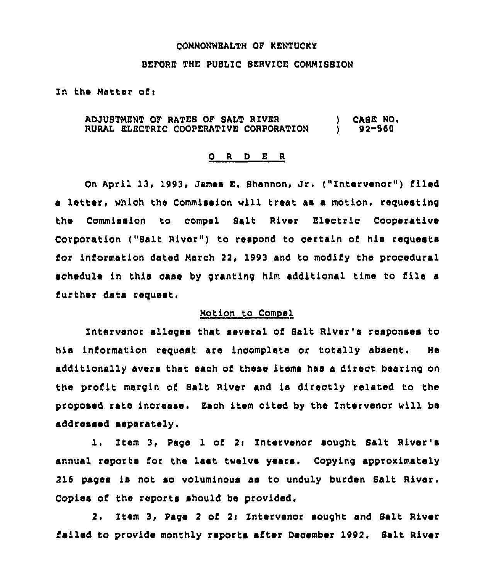#### COMMONWEALTH OF KENTUCKY

#### BEFORE THE PUBLIC SERVICE COMMISSION

In the Matter of:

#### ) CASE NO. ADJUSTMENT OF RATES OF SALT RIVER RURAL ELECTRIC COOPERATIVE CORPORATION  $92 - 560$

### ORDER

On April 13, 1993, James E. Shannon, Jr. ("Intervenor") filed a letter, which the Commission will treat as a motion, requesting the Commission to compel Salt River Electric Cooperative Corporation ("Salt River") to respond to certain of his requests for information dated March 22, 1993 and to modify the procedural schedule in this case by granting him additional time to file a further data request.

## Motion to Compel

Intervenor alleges that several of Salt River's responses to his information request are incomplete or totally absent. He additionally avers that each of these items has a direct bearing on the profit margin of Salt River and is directly related to the proposed rate increase. Each item cited by the Intervenor will be addressed separately.

1. Item 3, Pago 1 of 2: Intervenor sought Salt River's annual reports for the last twelve years. Copying approximately 216 pages is not so voluminous as to unduly burden Salt River. Copies of the reports should be provided.

Item 3, Page 2 of 2: Intervenor mought and Salt River  $2.$ failed to provide monthly reports after December 1992. Salt River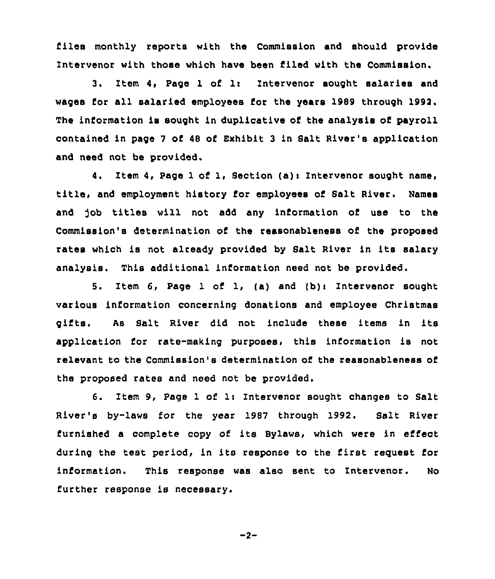files monthly reports with the Commission and should provide Intervenor with those which have been filed with the Commission.

3. Item 4, Page 1 of 1: Intervenor sought salaries and wages for all salaried employees for the years 1989 through 1992. The information is sought in duplicative of the analysis of payroll contained in page <sup>7</sup> of 48 of Exhibit 3 in Salt River's application and need not be provided.

4. Item 4, Page 1 of 1, Section (a)i Intervenor sought name, title, and employment history for employees of 8alt River. Names and job titles will not add any information of use to the Commission's determination of the reasonableness of the proposed rates which is not already provided by Salt River in its salary analysis. This additional information need not be provided.

5. Item 6, Page 1 of 1, (a) and (b): Intervenor sought various information concerning donations and employee Christmas gifts. As Salt River did not include these items in its application for rate-making purposes, this information is not relevant to the Commission's determination of the reasonableness of the proposed rates and need not be provided.

6. Item 9, Page 1 of 1: Intervenor sought changes to Salt River's by-laws for the year 1987 through 1992. Salt River furnished a complete copy of its Bylaws, which were in effect during the test period, in its response to the first request for information. This response was also sent to Intervenor. No further response is necessary.

$$
-2
$$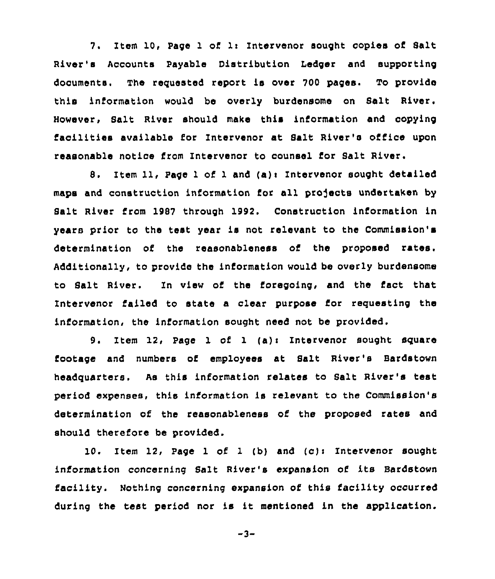7. Item 10, Page 1 of 1: Intervenor sought copies of Salt River's Accounts Payable Distribution Ledger and supporting documents. The requested report is over 700 pages. To provide this information would be overly burdensome on Salt River. However, Salt River should make this information and copying faoilities available for Intervenor at Salt River's office upon reasonable notice from Intervenor to counsel for Salt River.

8. Item 11, Page 1 of 1 and (a): Intervenor sought detailed maps and construction information for all projects undertaken by Balt River from 1987 through 1992. Construction information in years prior to the test year is not relevant to the Commission's determination of the reasonableness of the proposed rates. Additionally, to provide the information would be overly burdensome to Salt River. Zn view of the foregoing, and the fact that Intervenor failed to state a clear purpose for requesting the information, the information sought need not be provided.

9. Item 12, Page 1 of 1 (a): Intervenor sought square footage and numbers of employees at Salt River's Bardstown headquarters. As this information relates to Salt River's test period expenses, this information is relevant to the Commission's determination of the reasonableness of the proposed rates and should therefore be provided.

10. Item  $12$ , Page 1 of 1 (b) and (c): Intervenor sought information concerning Salt River's expansion of its Bardstown facility. Nothing concerning expansion of this facility occurred during the test period nor is it mentioned in the application.

 $-3-$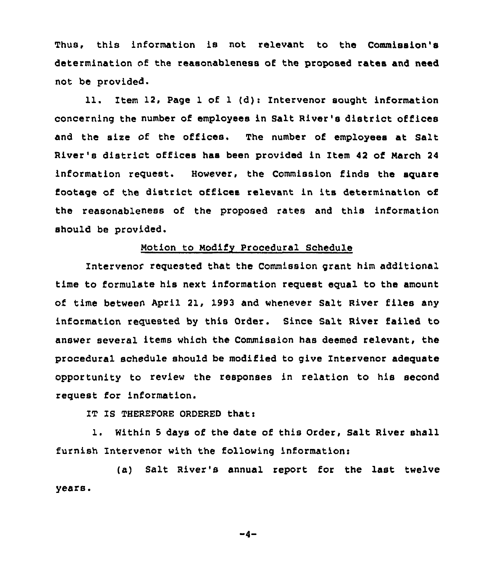Thus, this information is not relevant to the Commission's determination of the reasonableness of the proposed rates and need not be provided.

11. Item 12, Page 1 of 1 (d): Intervenor sought information concerning the number of employees in Salt River's district offices and the size of the offices. The number of employees at Salt River's district offices has been provided in Item 42 of March <sup>24</sup> information reguest. However, the Commission finds the sguare footage of the district offices relevant in its determination of the reasonableness of the proposed rates and this information should be provided.

## Motion to Modify Procedural Schedule

Intervenor reguested that the Commission grant him additional time to formulate his next information request equal to the amount of time between April 21, 1993 and whenever Salt River files any information requested by this Order. Since Salt River failed to answer several items which the Commission has deemed relevant, the procedural schedule should be modified to give Intervenor adeguate opportunity to review the responses in relation to his second request for information.

IT IS THEREFORE ORDERED that:

1. Within <sup>5</sup> days of the date of this Order, Salt River shall furnish Intervenor with the following information:

(a) Salt River's annual report for the last twelve years.

$$
-4-
$$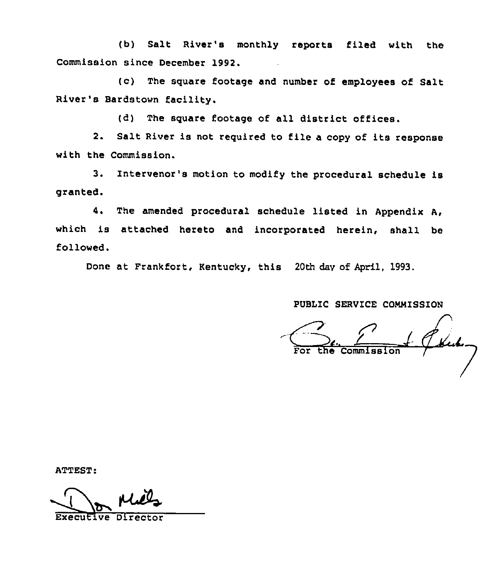(b) Salt River's monthly reports filed with the Commission since December 1992.

(c) The square footage and number of employees of Salt River's Bardstown facility.

(d) The square footage of all district offices.

2. Salt River is not required to file <sup>a</sup> copy of its response with the Commission.

3. Intervenor's motion to modify the procedural schedule is granted.

4. The amended procedural schedule listed in Appendix A, which is attached hereto and incorporated herein, shall be followed.

Done at Frankfort, Kentucky, this 20th dav of April, 1993.

PUBLIC SERVICE COMMISSION

 $\mathcal{L}$ Commission

ATTEST:

Executive Director